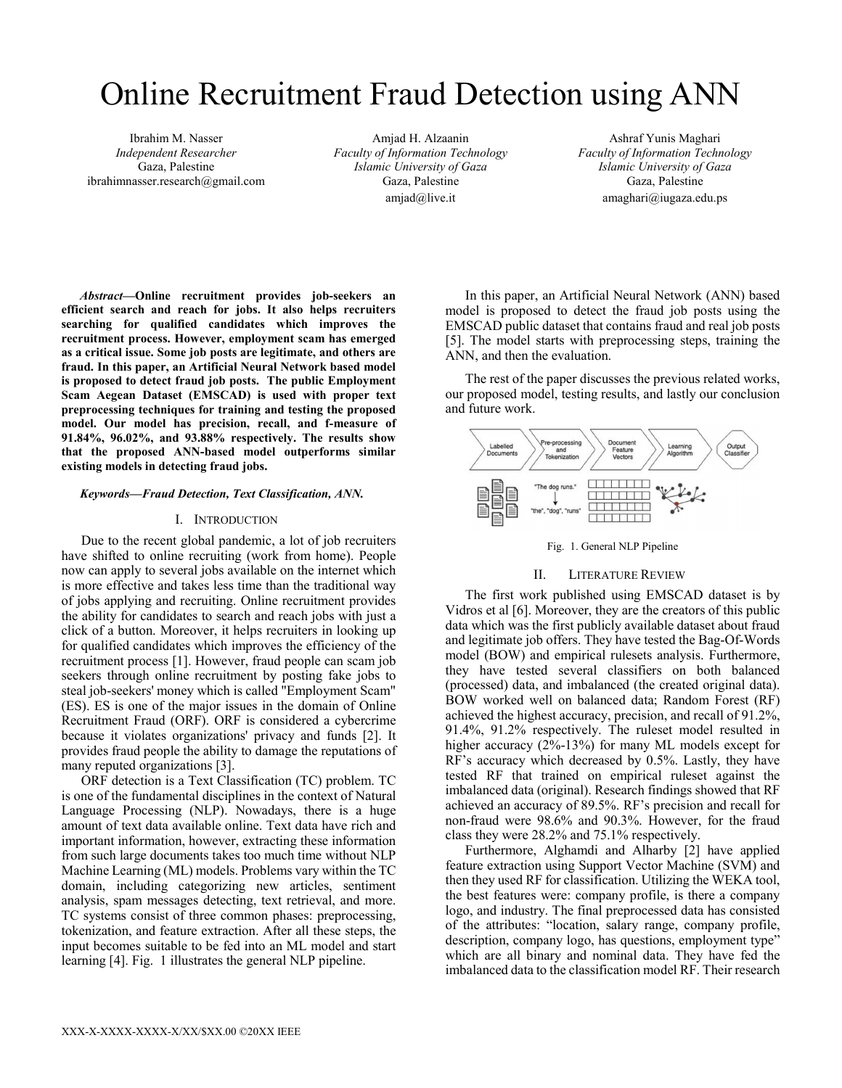# Online Recruitment Fraud Detection using ANN

Ibrahim M. Nasser *Independent Researcher*  Gaza, Palestine ibrahimnasser.research@gmail.com

Amjad H. Alzaanin *Faculty of Information Technology Islamic University of Gaza*  Gaza, Palestine amjad@live.it

Ashraf Yunis Maghari *Faculty of Information Technology Islamic University of Gaza*  Gaza, Palestine amaghari@iugaza.edu.ps

*Abstract***—Online recruitment provides job-seekers an efficient search and reach for jobs. It also helps recruiters searching for qualified candidates which improves the recruitment process. However, employment scam has emerged as a critical issue. Some job posts are legitimate, and others are fraud. In this paper, an Artificial Neural Network based model is proposed to detect fraud job posts. The public Employment Scam Aegean Dataset (EMSCAD) is used with proper text preprocessing techniques for training and testing the proposed model. Our model has precision, recall, and f-measure of 91.84%, 96.02%, and 93.88% respectively. The results show that the proposed ANN-based model outperforms similar existing models in detecting fraud jobs.**

#### *Keywords—Fraud Detection, Text Classification, ANN.*

# I. INTRODUCTION

Due to the recent global pandemic, a lot of job recruiters have shifted to online recruiting (work from home). People now can apply to several jobs available on the internet which is more effective and takes less time than the traditional way of jobs applying and recruiting. Online recruitment provides the ability for candidates to search and reach jobs with just a click of a button. Moreover, it helps recruiters in looking up for qualified candidates which improves the efficiency of the recruitment process [1]. However, fraud people can scam job seekers through online recruitment by posting fake jobs to steal job-seekers' money which is called "Employment Scam" (ES). ES is one of the major issues in the domain of Online Recruitment Fraud (ORF). ORF is considered a cybercrime because it violates organizations' privacy and funds [2]. It provides fraud people the ability to damage the reputations of many reputed organizations [3].

ORF detection is a Text Classification (TC) problem. TC is one of the fundamental disciplines in the context of Natural Language Processing (NLP). Nowadays, there is a huge amount of text data available online. Text data have rich and important information, however, extracting these information from such large documents takes too much time without NLP Machine Learning (ML) models. Problems vary within the TC domain, including categorizing new articles, sentiment analysis, spam messages detecting, text retrieval, and more. TC systems consist of three common phases: preprocessing, tokenization, and feature extraction. After all these steps, the input becomes suitable to be fed into an ML model and start learning [4]. Fig. 1 illustrates the general NLP pipeline.

In this paper, an Artificial Neural Network (ANN) based model is proposed to detect the fraud job posts using the EMSCAD public dataset that contains fraud and real job posts [5]. The model starts with preprocessing steps, training the ANN, and then the evaluation.

The rest of the paper discusses the previous related works, our proposed model, testing results, and lastly our conclusion and future work.





#### II. LITERATURE REVIEW

The first work published using EMSCAD dataset is by Vidros et al [6]. Moreover, they are the creators of this public data which was the first publicly available dataset about fraud and legitimate job offers. They have tested the Bag-Of-Words model (BOW) and empirical rulesets analysis. Furthermore, they have tested several classifiers on both balanced (processed) data, and imbalanced (the created original data). BOW worked well on balanced data; Random Forest (RF) achieved the highest accuracy, precision, and recall of 91.2%, 91.4%, 91.2% respectively. The ruleset model resulted in higher accuracy (2%-13%) for many ML models except for RF's accuracy which decreased by 0.5%. Lastly, they have tested RF that trained on empirical ruleset against the imbalanced data (original). Research findings showed that RF achieved an accuracy of 89.5%. RF's precision and recall for non-fraud were 98.6% and 90.3%. However, for the fraud class they were 28.2% and 75.1% respectively.

Furthermore, Alghamdi and Alharby [2] have applied feature extraction using Support Vector Machine (SVM) and then they used RF for classification. Utilizing the WEKA tool, the best features were: company profile, is there a company logo, and industry. The final preprocessed data has consisted of the attributes: "location, salary range, company profile, description, company logo, has questions, employment type" which are all binary and nominal data. They have fed the imbalanced data to the classification model RF. Their research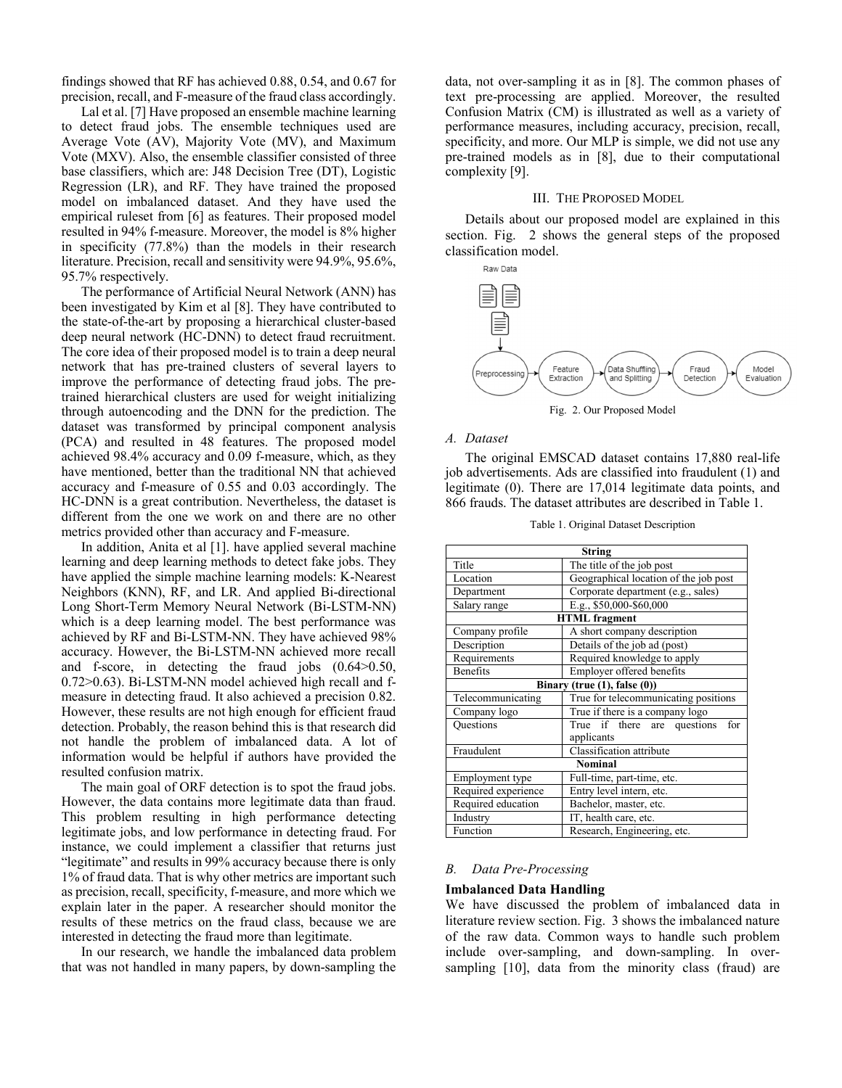findings showed that RF has achieved 0.88, 0.54, and 0.67 for precision, recall, and F-measure of the fraud class accordingly.

Lal et al. [7] Have proposed an ensemble machine learning to detect fraud jobs. The ensemble techniques used are Average Vote (AV), Majority Vote (MV), and Maximum Vote (MXV). Also, the ensemble classifier consisted of three base classifiers, which are: J48 Decision Tree (DT), Logistic Regression (LR), and RF. They have trained the proposed model on imbalanced dataset. And they have used the empirical ruleset from [6] as features. Their proposed model resulted in 94% f-measure. Moreover, the model is 8% higher in specificity (77.8%) than the models in their research literature. Precision, recall and sensitivity were 94.9%, 95.6%, 95.7% respectively.

The performance of Artificial Neural Network (ANN) has been investigated by Kim et al [8]. They have contributed to the state-of-the-art by proposing a hierarchical cluster-based deep neural network (HC-DNN) to detect fraud recruitment. The core idea of their proposed model is to train a deep neural network that has pre-trained clusters of several layers to improve the performance of detecting fraud jobs. The pretrained hierarchical clusters are used for weight initializing through autoencoding and the DNN for the prediction. The dataset was transformed by principal component analysis (PCA) and resulted in 48 features. The proposed model achieved 98.4% accuracy and 0.09 f-measure, which, as they have mentioned, better than the traditional NN that achieved accuracy and f-measure of 0.55 and 0.03 accordingly. The HC-DNN is a great contribution. Nevertheless, the dataset is different from the one we work on and there are no other metrics provided other than accuracy and F-measure.

In addition, Anita et al [1]. have applied several machine learning and deep learning methods to detect fake jobs. They have applied the simple machine learning models: K-Nearest Neighbors (KNN), RF, and LR. And applied Bi-directional Long Short-Term Memory Neural Network (Bi-LSTM-NN) which is a deep learning model. The best performance was achieved by RF and Bi-LSTM-NN. They have achieved 98% accuracy. However, the Bi-LSTM-NN achieved more recall and f-score, in detecting the fraud jobs (0.64>0.50, 0.72>0.63). Bi-LSTM-NN model achieved high recall and fmeasure in detecting fraud. It also achieved a precision 0.82. However, these results are not high enough for efficient fraud detection. Probably, the reason behind this is that research did not handle the problem of imbalanced data. A lot of information would be helpful if authors have provided the resulted confusion matrix.

The main goal of ORF detection is to spot the fraud jobs. However, the data contains more legitimate data than fraud. This problem resulting in high performance detecting legitimate jobs, and low performance in detecting fraud. For instance, we could implement a classifier that returns just "legitimate" and results in 99% accuracy because there is only 1% of fraud data. That is why other metrics are important such as precision, recall, specificity, f-measure, and more which we explain later in the paper. A researcher should monitor the results of these metrics on the fraud class, because we are interested in detecting the fraud more than legitimate.

In our research, we handle the imbalanced data problem that was not handled in many papers, by down-sampling the

data, not over-sampling it as in [8]. The common phases of text pre-processing are applied. Moreover, the resulted Confusion Matrix (CM) is illustrated as well as a variety of performance measures, including accuracy, precision, recall, specificity, and more. Our MLP is simple, we did not use any pre-trained models as in [8], due to their computational complexity [9].

#### III. THE PROPOSED MODEL

Details about our proposed model are explained in this section. Fig. 2 shows the general steps of the proposed classification model.



Fig. 2. Our Proposed Model

# *A. Dataset*

The original EMSCAD dataset contains 17,880 real-life job advertisements. Ads are classified into fraudulent (1) and legitimate (0). There are 17,014 legitimate data points, and 866 frauds. The dataset attributes are described in Table 1.

Table 1. Original Dataset Description

| <b>String</b>                |                                       |  |  |  |
|------------------------------|---------------------------------------|--|--|--|
| Title                        | The title of the job post             |  |  |  |
| Location                     | Geographical location of the job post |  |  |  |
| Department                   | Corporate department (e.g., sales)    |  |  |  |
| Salary range                 | E.g., \$50,000-\$60,000               |  |  |  |
| <b>HTML</b> fragment         |                                       |  |  |  |
| Company profile              | A short company description           |  |  |  |
| Description                  | Details of the job ad (post)          |  |  |  |
| Requirements                 | Required knowledge to apply           |  |  |  |
| Benefits                     | Employer offered benefits             |  |  |  |
| Binary (true (1), false (0)) |                                       |  |  |  |
| Telecommunicating            | True for telecommunicating positions  |  |  |  |
| Company logo                 | True if there is a company logo       |  |  |  |
| Questions                    | True if there are questions<br>for    |  |  |  |
|                              | applicants                            |  |  |  |
| Fraudulent                   | Classification attribute              |  |  |  |
| <b>Nominal</b>               |                                       |  |  |  |
| Employment type              | Full-time, part-time, etc.            |  |  |  |
| Required experience          | Entry level intern, etc.              |  |  |  |
| Required education           | Bachelor, master, etc.                |  |  |  |
| Industry                     | IT, health care, etc.                 |  |  |  |
| Function                     | Research, Engineering, etc.           |  |  |  |

### *B. Data Pre-Processing*

#### **Imbalanced Data Handling**

We have discussed the problem of imbalanced data in literature review section. Fig. 3 shows the imbalanced nature of the raw data. Common ways to handle such problem include over-sampling, and down-sampling. In oversampling [10], data from the minority class (fraud) are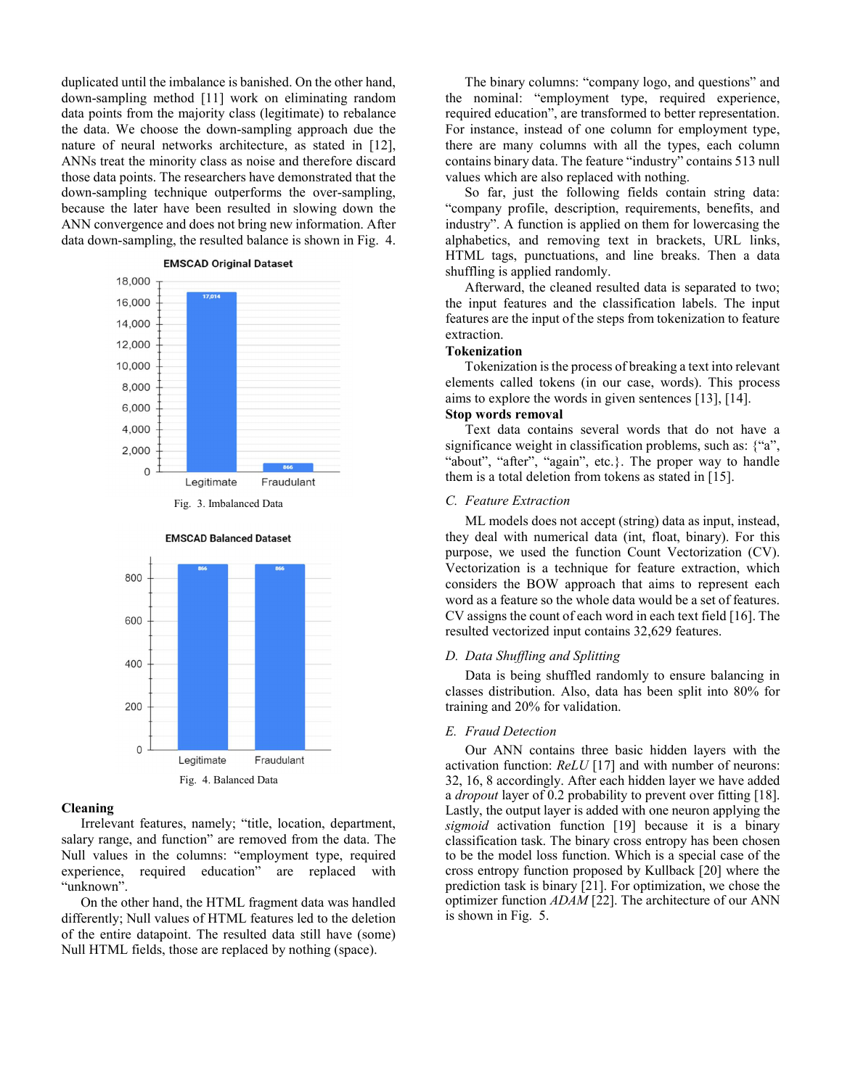duplicated until the imbalance is banished. On the other hand, down-sampling method [11] work on eliminating random data points from the majority class (legitimate) to rebalance the data. We choose the down-sampling approach due the nature of neural networks architecture, as stated in [12], ANNs treat the minority class as noise and therefore discard those data points. The researchers have demonstrated that the down-sampling technique outperforms the over-sampling, because the later have been resulted in slowing down the ANN convergence and does not bring new information. After data down-sampling, the resulted balance is shown in Fig. 4.



**EMSCAD Balanced Dataset** 



# **Cleaning**

Irrelevant features, namely; "title, location, department, salary range, and function" are removed from the data. The Null values in the columns: "employment type, required experience, required education" are replaced with "unknown".

On the other hand, the HTML fragment data was handled differently; Null values of HTML features led to the deletion of the entire datapoint. The resulted data still have (some) Null HTML fields, those are replaced by nothing (space).

The binary columns: "company logo, and questions" and the nominal: "employment type, required experience, required education", are transformed to better representation. For instance, instead of one column for employment type, there are many columns with all the types, each column contains binary data. The feature "industry" contains 513 null values which are also replaced with nothing.

So far, just the following fields contain string data: "company profile, description, requirements, benefits, and industry". A function is applied on them for lowercasing the alphabetics, and removing text in brackets, URL links, HTML tags, punctuations, and line breaks. Then a data shuffling is applied randomly.

Afterward, the cleaned resulted data is separated to two; the input features and the classification labels. The input features are the input of the steps from tokenization to feature extraction.

### **Tokenization**

Tokenization is the process of breaking a text into relevant elements called tokens (in our case, words). This process aims to explore the words in given sentences [13], [14].

# **Stop words removal**

Text data contains several words that do not have a significance weight in classification problems, such as: {"a", "about", "after", "again", etc.}. The proper way to handle them is a total deletion from tokens as stated in [15].

# *C. Feature Extraction*

ML models does not accept (string) data as input, instead, they deal with numerical data (int, float, binary). For this purpose, we used the function Count Vectorization (CV). Vectorization is a technique for feature extraction, which considers the BOW approach that aims to represent each word as a feature so the whole data would be a set of features. CV assigns the count of each word in each text field [16]. The resulted vectorized input contains 32,629 features.

# *D. Data Shuffling and Splitting*

Data is being shuffled randomly to ensure balancing in classes distribution. Also, data has been split into 80% for training and 20% for validation.

#### *E. Fraud Detection*

Our ANN contains three basic hidden layers with the activation function: *ReLU* [17] and with number of neurons: 32, 16, 8 accordingly. After each hidden layer we have added a *dropout* layer of 0.2 probability to prevent over fitting [18]. Lastly, the output layer is added with one neuron applying the *sigmoid* activation function [19] because it is a binary classification task. The binary cross entropy has been chosen to be the model loss function. Which is a special case of the cross entropy function proposed by Kullback [20] where the prediction task is binary [21]. For optimization, we chose the optimizer function *ADAM* [22]. The architecture of our ANN is shown in Fig. 5.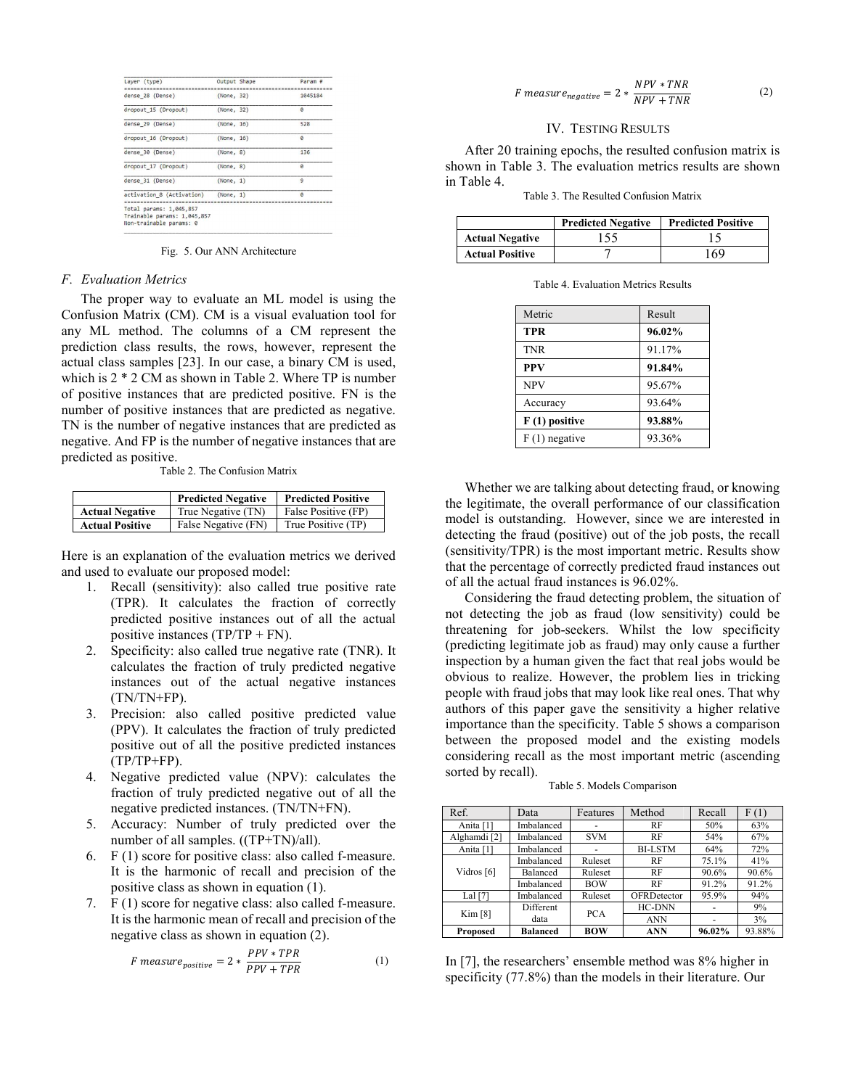| Layer (type)                                                                      | Output Shape | Param #      |
|-----------------------------------------------------------------------------------|--------------|--------------|
| dense 28 (Dense)                                                                  | (None, 32)   | 1045184      |
| dropout 15 (Dropout)                                                              | (None, 32)   | e            |
| dense 29 (Dense)                                                                  | (None, 16)   | 528          |
| dropout 16 (Dropout)                                                              | (None, 16)   | e            |
| dense 30 (Dense)                                                                  | (None, 8)    | 136          |
| dropout 17 (Dropout)                                                              | (None, 8)    | e            |
| dense 31 (Dense)                                                                  | (None, 1)    | $\mathbf{Q}$ |
| activation 8 (Activation)                                                         | (None, 1)    | $\theta$     |
| Total params: 1,045,857<br>Trainable params: 1,045,857<br>Non-trainable params: 0 |              |              |

Fig. 5. Our ANN Architecture

#### *F. Evaluation Metrics*

The proper way to evaluate an ML model is using the Confusion Matrix (CM). CM is a visual evaluation tool for any ML method. The columns of a CM represent the prediction class results, the rows, however, represent the actual class samples [23]. In our case, a binary CM is used, which is 2 \* 2 CM as shown in Table 2. Where TP is number of positive instances that are predicted positive. FN is the number of positive instances that are predicted as negative. TN is the number of negative instances that are predicted as negative. And FP is the number of negative instances that are predicted as positive.

Table 2. The Confusion Matrix

|                        | <b>Predicted Negative</b> | <b>Predicted Positive</b> |
|------------------------|---------------------------|---------------------------|
| <b>Actual Negative</b> | True Negative (TN)        | False Positive (FP)       |
| <b>Actual Positive</b> | False Negative (FN)       | True Positive (TP)        |

Here is an explanation of the evaluation metrics we derived and used to evaluate our proposed model:

- 1. Recall (sensitivity): also called true positive rate (TPR). It calculates the fraction of correctly predicted positive instances out of all the actual positive instances  $(TP/TP + FN)$ .
- 2. Specificity: also called true negative rate (TNR). It calculates the fraction of truly predicted negative instances out of the actual negative instances (TN/TN+FP).
- 3. Precision: also called positive predicted value (PPV). It calculates the fraction of truly predicted positive out of all the positive predicted instances  $(TP/TP+FP)$ .
- 4. Negative predicted value (NPV): calculates the fraction of truly predicted negative out of all the negative predicted instances. (TN/TN+FN).
- 5. Accuracy: Number of truly predicted over the number of all samples. ((TP+TN)/all).
- 6. F (1) score for positive class: also called f-measure. It is the harmonic of recall and precision of the positive class as shown in equation (1).
- 7. F (1) score for negative class: also called f-measure. It is the harmonic mean of recall and precision of the negative class as shown in equation (2).

$$
F measure_{positive} = 2 * \frac{PPV * TPR}{PPV + TPR}
$$
 (1)

$$
F measure_{negative} = 2 * \frac{NPV * TNR}{NPV + TNR}
$$
 (2)

#### IV. TESTING RESULTS

After 20 training epochs, the resulted confusion matrix is shown in Table 3. The evaluation metrics results are shown in Table 4.

Table 3. The Resulted Confusion Matrix

|                        | <b>Predicted Negative</b> | <b>Predicted Positive</b> |
|------------------------|---------------------------|---------------------------|
| <b>Actual Negative</b> | 155                       |                           |
| <b>Actual Positive</b> |                           | '69                       |

Table 4. Evaluation Metrics Results

| Metric          | Result |
|-----------------|--------|
| <b>TPR</b>      | 96.02% |
| <b>TNR</b>      | 91.17% |
| <b>PPV</b>      | 91.84% |
| <b>NPV</b>      | 95.67% |
| Accuracy        | 93.64% |
| $F(1)$ positive | 93.88% |
| $F(1)$ negative | 93.36% |

Whether we are talking about detecting fraud, or knowing the legitimate, the overall performance of our classification model is outstanding. However, since we are interested in detecting the fraud (positive) out of the job posts, the recall (sensitivity/TPR) is the most important metric. Results show that the percentage of correctly predicted fraud instances out of all the actual fraud instances is 96.02%.

Considering the fraud detecting problem, the situation of not detecting the job as fraud (low sensitivity) could be threatening for job-seekers. Whilst the low specificity (predicting legitimate job as fraud) may only cause a further inspection by a human given the fact that real jobs would be obvious to realize. However, the problem lies in tricking people with fraud jobs that may look like real ones. That why authors of this paper gave the sensitivity a higher relative importance than the specificity. Table 5 shows a comparison between the proposed model and the existing models considering recall as the most important metric (ascending sorted by recall).

Table 5. Models Comparison

| Ref.                    | Data            | Features   | Method         | Recall | F(1)   |
|-------------------------|-----------------|------------|----------------|--------|--------|
| Anita [1]               | Imbalanced      |            | RF             | 50%    | 63%    |
| Alghamdi <sup>[2]</sup> | Imbalanced      | <b>SVM</b> | RF             | 54%    | 67%    |
| Anita <sup>[1]</sup>    | Imbalanced      |            | <b>BI-LSTM</b> | 64%    | 72%    |
| Vidros [6]              | Imbalanced      | Ruleset    | RF             | 75.1%  | 41%    |
|                         | Balanced        | Ruleset    | RF             | 90.6%  | 90.6%  |
|                         | Imbalanced      | <b>BOW</b> | RF             | 91.2%  | 91.2%  |
| Lal $[7]$               | Imbalanced      | Ruleset    | OFRDetector    | 95.9%  | 94%    |
| Kim [8]                 | Different       | <b>PCA</b> | <b>HC-DNN</b>  |        | 9%     |
|                         | data            |            | <b>ANN</b>     |        | 3%     |
| <b>Proposed</b>         | <b>Balanced</b> | <b>BOW</b> | <b>ANN</b>     | 96.02% | 93.88% |

In [7], the researchers' ensemble method was 8% higher in specificity (77.8%) than the models in their literature. Our